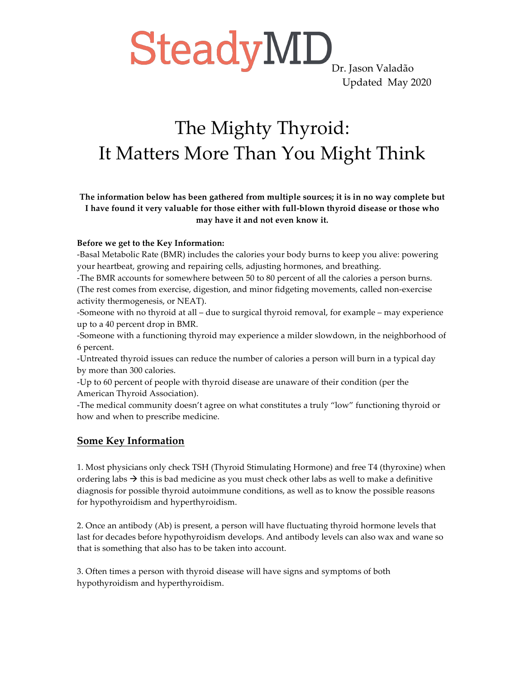SteadyMD<sub>Dr. Jason Valadão</sub>

Updated May 2020

### The Mighty Thyroid: It Matters More Than You Might Think

**The information below has been gathered from multiple sources; it is in no way complete but I have found it very valuable for those either with full-blown thyroid disease or those who may have it and not even know it.**

#### **Before we get to the Key Information:**

-Basal Metabolic Rate (BMR) includes the calories your body burns to keep you alive: powering your heartbeat, growing and repairing cells, adjusting hormones, and breathing.

-The BMR accounts for somewhere between 50 to 80 percent of all the calories a person burns. (The rest comes from exercise, digestion, and minor fidgeting movements, called non-exercise activity thermogenesis, or NEAT).

-Someone with no thyroid at all – due to surgical thyroid removal, for example – may experience up to a 40 percent drop in BMR.

-Someone with a functioning thyroid may experience a milder slowdown, in the neighborhood of 6 percent.

-Untreated thyroid issues can reduce the number of calories a person will burn in a typical day by more than 300 calories.

-Up to 60 percent of people with thyroid disease are unaware of their condition (per the American Thyroid Association).

-The medical community doesn't agree on what constitutes a truly "low" functioning thyroid or how and when to prescribe medicine.

#### **Some Key Information**

1. Most physicians only check TSH (Thyroid Stimulating Hormone) and free T4 (thyroxine) when ordering labs  $\rightarrow$  this is bad medicine as you must check other labs as well to make a definitive diagnosis for possible thyroid autoimmune conditions, as well as to know the possible reasons for hypothyroidism and hyperthyroidism.

2. Once an antibody (Ab) is present, a person will have fluctuating thyroid hormone levels that last for decades before hypothyroidism develops. And antibody levels can also wax and wane so that is something that also has to be taken into account.

3. Often times a person with thyroid disease will have signs and symptoms of both hypothyroidism and hyperthyroidism.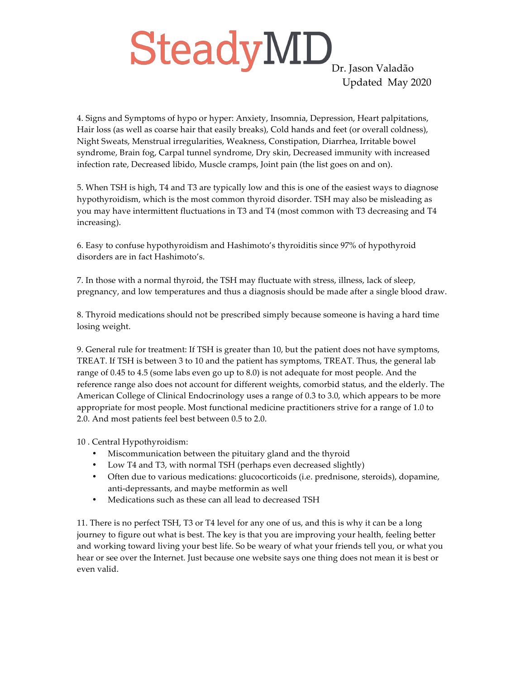## SteadyMD<sub>Dr. Jason Valadão</sub> Updated May 2020

4. Signs and Symptoms of hypo or hyper: Anxiety, Insomnia, Depression, Heart palpitations, Hair loss (as well as coarse hair that easily breaks), Cold hands and feet (or overall coldness), Night Sweats, Menstrual irregularities, Weakness, Constipation, Diarrhea, Irritable bowel syndrome, Brain fog, Carpal tunnel syndrome, Dry skin, Decreased immunity with increased infection rate, Decreased libido, Muscle cramps, Joint pain (the list goes on and on).

5. When TSH is high, T4 and T3 are typically low and this is one of the easiest ways to diagnose hypothyroidism, which is the most common thyroid disorder. TSH may also be misleading as you may have intermittent fluctuations in T3 and T4 (most common with T3 decreasing and T4 increasing).

6. Easy to confuse hypothyroidism and Hashimoto's thyroiditis since 97% of hypothyroid disorders are in fact Hashimoto's.

7. In those with a normal thyroid, the TSH may fluctuate with stress, illness, lack of sleep, pregnancy, and low temperatures and thus a diagnosis should be made after a single blood draw.

8. Thyroid medications should not be prescribed simply because someone is having a hard time losing weight.

9. General rule for treatment: If TSH is greater than 10, but the patient does not have symptoms, TREAT. If TSH is between 3 to 10 and the patient has symptoms, TREAT. Thus, the general lab range of 0.45 to 4.5 (some labs even go up to 8.0) is not adequate for most people. And the reference range also does not account for different weights, comorbid status, and the elderly. The American College of Clinical Endocrinology uses a range of 0.3 to 3.0, which appears to be more appropriate for most people. Most functional medicine practitioners strive for a range of 1.0 to 2.0. And most patients feel best between 0.5 to 2.0.

10 . Central Hypothyroidism:

- Miscommunication between the pituitary gland and the thyroid
- Low T4 and T3, with normal TSH (perhaps even decreased slightly)
- Often due to various medications: glucocorticoids (i.e. prednisone, steroids), dopamine, anti-depressants, and maybe metformin as well
- Medications such as these can all lead to decreased TSH

11. There is no perfect TSH, T3 or T4 level for any one of us, and this is why it can be a long journey to figure out what is best. The key is that you are improving your health, feeling better and working toward living your best life. So be weary of what your friends tell you, or what you hear or see over the Internet. Just because one website says one thing does not mean it is best or even valid.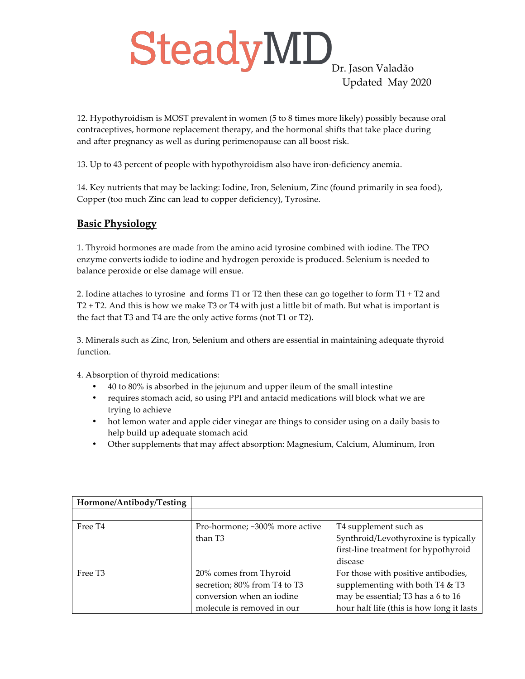# SteadyMD<sub>Dr. Jason Valadão</sub> Updated May 2020

12. Hypothyroidism is MOST prevalent in women (5 to 8 times more likely) possibly because oral contraceptives, hormone replacement therapy, and the hormonal shifts that take place during and after pregnancy as well as during perimenopause can all boost risk.

13. Up to 43 percent of people with hypothyroidism also have iron-deficiency anemia.

14. Key nutrients that may be lacking: Iodine, Iron, Selenium, Zinc (found primarily in sea food), Copper (too much Zinc can lead to copper deficiency), Tyrosine.

#### **Basic Physiology**

1. Thyroid hormones are made from the amino acid tyrosine combined with iodine. The TPO enzyme converts iodide to iodine and hydrogen peroxide is produced. Selenium is needed to balance peroxide or else damage will ensue.

2. Iodine attaches to tyrosine and forms T1 or T2 then these can go together to form T1 + T2 and T2 + T2. And this is how we make T3 or T4 with just a little bit of math. But what is important is the fact that T3 and T4 are the only active forms (not T1 or T2).

3. Minerals such as Zinc, Iron, Selenium and others are essential in maintaining adequate thyroid function.

4. Absorption of thyroid medications:

- 40 to 80% is absorbed in the jejunum and upper ileum of the small intestine
- requires stomach acid, so using PPI and antacid medications will block what we are trying to achieve
- hot lemon water and apple cider vinegar are things to consider using on a daily basis to help build up adequate stomach acid
- Other supplements that may affect absorption: Magnesium, Calcium, Aluminum, Iron

| Hormone/Antibody/Testing |                                |                                           |  |
|--------------------------|--------------------------------|-------------------------------------------|--|
|                          |                                |                                           |  |
| Free T <sub>4</sub>      | Pro-hormone; ~300% more active | T4 supplement such as                     |  |
|                          | than T <sub>3</sub>            | Synthroid/Levothyroxine is typically      |  |
|                          |                                | first-line treatment for hypothyroid      |  |
|                          |                                | disease                                   |  |
| Free T <sub>3</sub>      | 20% comes from Thyroid         | For those with positive antibodies,       |  |
|                          | secretion; 80% from T4 to T3   | supplementing with both T4 & T3           |  |
|                          | conversion when an iodine      | may be essential; T3 has a 6 to 16        |  |
|                          | molecule is removed in our     | hour half life (this is how long it lasts |  |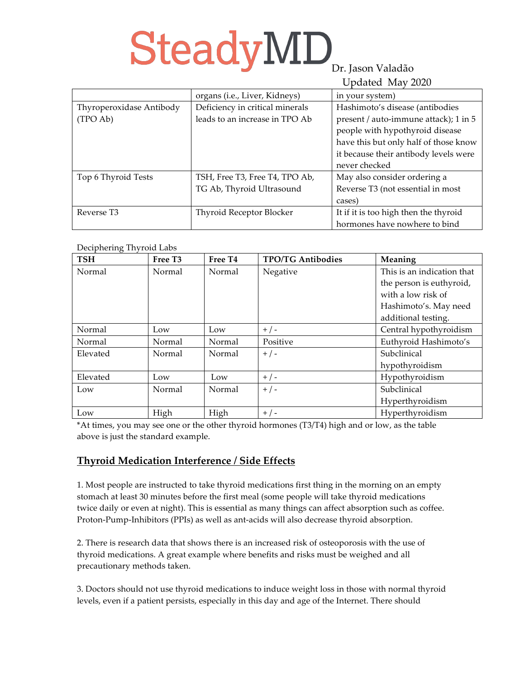# SteadyMD<sub>Dr. Jason Valadão</sub>

### Updated May 2020

|                          | $\epsilon$                      |                                       |  |  |
|--------------------------|---------------------------------|---------------------------------------|--|--|
|                          | organs (i.e., Liver, Kidneys)   | in your system)                       |  |  |
| Thyroperoxidase Antibody | Deficiency in critical minerals | Hashimoto's disease (antibodies       |  |  |
| (TPO Ab)                 | leads to an increase in TPO Ab  | present / auto-immune attack); 1 in 5 |  |  |
|                          |                                 | people with hypothyroid disease       |  |  |
|                          |                                 | have this but only half of those know |  |  |
|                          |                                 | it because their antibody levels were |  |  |
|                          |                                 | never checked                         |  |  |
| Top 6 Thyroid Tests      | TSH, Free T3, Free T4, TPO Ab,  | May also consider ordering a          |  |  |
|                          | TG Ab, Thyroid Ultrasound       | Reverse T3 (not essential in most     |  |  |
|                          |                                 | cases)                                |  |  |
| Reverse T <sub>3</sub>   | Thyroid Receptor Blocker        | It if it is too high then the thyroid |  |  |
|                          |                                 | hormones have nowhere to bind         |  |  |

#### Deciphering Thyroid Labs

| - כ- כ- ס<br><b>TSH</b> | Free T <sub>3</sub> | Free T <sub>4</sub> | <b>TPO/TG Antibodies</b> | Meaning                    |
|-------------------------|---------------------|---------------------|--------------------------|----------------------------|
| Normal                  | Normal              | Normal              | Negative                 | This is an indication that |
|                         |                     |                     |                          | the person is euthyroid,   |
|                         |                     |                     |                          | with a low risk of         |
|                         |                     |                     |                          | Hashimoto's. May need      |
|                         |                     |                     |                          | additional testing.        |
| Normal                  | Low                 | Low                 | $+$ / -                  | Central hypothyroidism     |
| Normal                  | Normal              | Normal              | Positive                 | Euthyroid Hashimoto's      |
| Elevated                | Normal              | Normal              | $+$ / -                  | Subclinical                |
|                         |                     |                     |                          | hypothyroidism             |
| Elevated                | Low                 | Low                 | $+$ / -                  | Hypothyroidism             |
| Low                     | Normal              | Normal              | $+$ / -                  | Subclinical                |
|                         |                     |                     |                          | Hyperthyroidism            |
| Low                     | High                | High                | $+$ / -                  | Hyperthyroidism            |

\*At times, you may see one or the other thyroid hormones (T3/T4) high and or low, as the table above is just the standard example.

#### **Thyroid Medication Interference / Side Effects**

1. Most people are instructed to take thyroid medications first thing in the morning on an empty stomach at least 30 minutes before the first meal (some people will take thyroid medications twice daily or even at night). This is essential as many things can affect absorption such as coffee. Proton-Pump-Inhibitors (PPIs) as well as ant-acids will also decrease thyroid absorption.

2. There is research data that shows there is an increased risk of osteoporosis with the use of thyroid medications. A great example where benefits and risks must be weighed and all precautionary methods taken.

3. Doctors should not use thyroid medications to induce weight loss in those with normal thyroid levels, even if a patient persists, especially in this day and age of the Internet. There should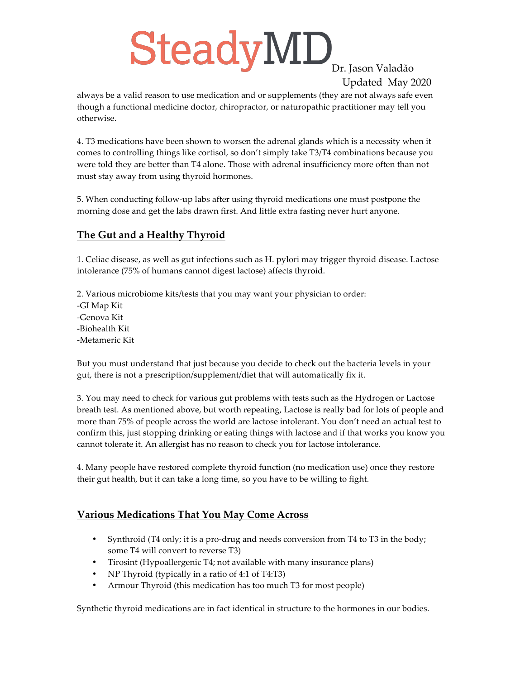# SteadyMD<sub>Dr. Jason Valadão</sub>

## Updated May 2020

always be a valid reason to use medication and or supplements (they are not always safe even though a functional medicine doctor, chiropractor, or naturopathic practitioner may tell you otherwise.

4. T3 medications have been shown to worsen the adrenal glands which is a necessity when it comes to controlling things like cortisol, so don't simply take T3/T4 combinations because you were told they are better than T4 alone. Those with adrenal insufficiency more often than not must stay away from using thyroid hormones.

5. When conducting follow-up labs after using thyroid medications one must postpone the morning dose and get the labs drawn first. And little extra fasting never hurt anyone.

#### **The Gut and a Healthy Thyroid**

1. Celiac disease, as well as gut infections such as H. pylori may trigger thyroid disease. Lactose intolerance (75% of humans cannot digest lactose) affects thyroid.

2. Various microbiome kits/tests that you may want your physician to order: -GI Map Kit -Genova Kit -Biohealth Kit -Metameric Kit

But you must understand that just because you decide to check out the bacteria levels in your gut, there is not a prescription/supplement/diet that will automatically fix it.

3. You may need to check for various gut problems with tests such as the Hydrogen or Lactose breath test. As mentioned above, but worth repeating, Lactose is really bad for lots of people and more than 75% of people across the world are lactose intolerant. You don't need an actual test to confirm this, just stopping drinking or eating things with lactose and if that works you know you cannot tolerate it. An allergist has no reason to check you for lactose intolerance.

4. Many people have restored complete thyroid function (no medication use) once they restore their gut health, but it can take a long time, so you have to be willing to fight.

#### **Various Medications That You May Come Across**

- Synthroid (T4 only; it is a pro-drug and needs conversion from T4 to T3 in the body; some T4 will convert to reverse T3)
- Tirosint (Hypoallergenic T4; not available with many insurance plans)
- NP Thyroid (typically in a ratio of 4:1 of T4:T3)
- Armour Thyroid (this medication has too much T3 for most people)

Synthetic thyroid medications are in fact identical in structure to the hormones in our bodies.